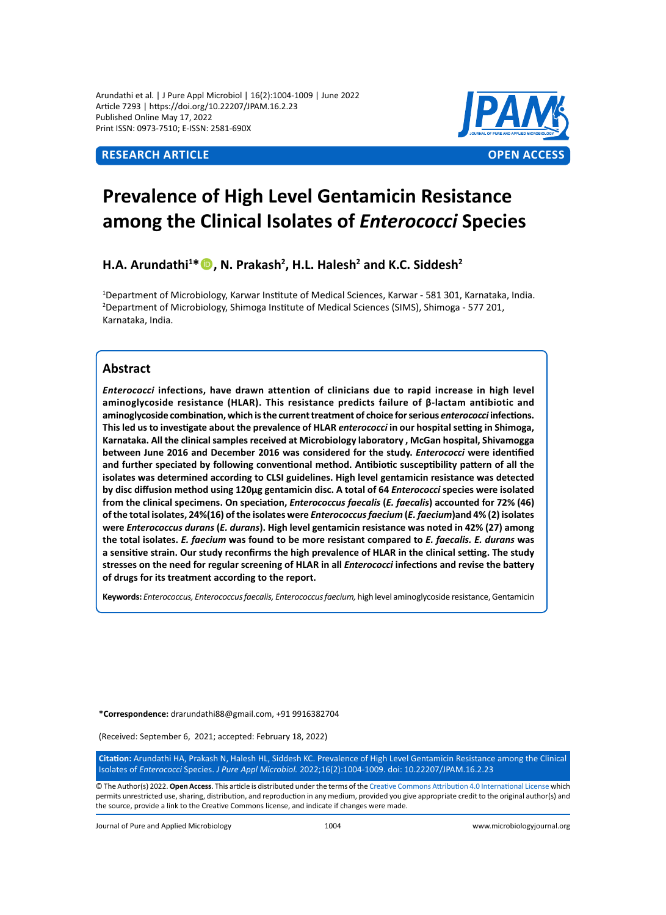Arundathi et al. | J Pure Appl Microbiol | 16(2):1004-1009 | June 2022 Article 7293 | https://doi.org/10.22207/JPAM.16.2.23 Published Online May 17, 2022 Print ISSN: 0973-7510; E-ISSN: 2581-690X



# **Prevalence of High Level Gentamicin Resistance among the Clinical Isolates of** *Enterococci* **Species**

# H.A. Arundathi<sup>1\*</sup> **D**, N. Prakash<sup>2</sup>, H.L. Halesh<sup>2</sup> and K.C. Siddesh<sup>2</sup>

1 Department of Microbiology, Karwar Institute of Medical Sciences, Karwar - 581 301, Karnataka, India. 2 Department of Microbiology, Shimoga Institute of Medical Sciences (SIMS), Shimoga - 577 201, Karnataka, India.

## **Abstract**

*Enterococci* **infections, have drawn attention of clinicians due to rapid increase in high level aminoglycoside resistance (HLAR). This resistance predicts failure of β-lactam antibiotic and aminoglycoside combination, which is the current treatment of choice for serious** *enterococci* **infections. This led us to investigate about the prevalence of HLAR** *enterococci* **in our hospital setting in Shimoga, Karnataka. All the clinical samples received at Microbiology laboratory , McGan hospital, Shivamogga between June 2016 and December 2016 was considered for the study.** *Enterococci* **were identified and further speciated by following conventional method. Antibiotic susceptibility pattern of all the isolates was determined according to CLSI guidelines. High level gentamicin resistance was detected by disc diffusion method using 120µg gentamicin disc. A total of 64** *Enterococci* **species were isolated from the clinical specimens. On speciation,** *Enterococcus faecalis* **(***E. faecalis***) accounted for 72% (46) of the total isolates, 24%(16) of the isolates were** *Enterococcus faecium* **(***E. faecium***)and 4% (2) isolates were** *Enterococcus durans* **(***E. durans***). High level gentamicin resistance was noted in 42% (27) among the total isolates.** *E. faecium* **was found to be more resistant compared to** *E. faecalis. E. durans* **was a sensitive strain. Our study reconfirms the high prevalence of HLAR in the clinical setting. The study stresses on the need for regular screening of HLAR in all** *Enterococci* **infections and revise the battery of drugs for its treatment according to the report.** 

**Keywords:** *Enterococcus, Enterococcus faecalis, Enterococcus faecium,* high level aminoglycoside resistance, Gentamicin

**\*Correspondence:** drarundathi88@gmail.com, +91 9916382704

(Received: September 6, 2021; accepted: February 18, 2022)

**Citation:** Arundathi HA, Prakash N, Halesh HL, Siddesh KC. Prevalence of High Level Gentamicin Resistance among the Clinical Isolates of *Enterococci* Species. *J Pure Appl Microbiol.* 2022;16(2):1004-1009. doi: 10.22207/JPAM.16.2.23

© The Author(s) 2022. **Open Access**. This article is distributed under the terms of the [Creative Commons Attribution 4.0 International License](https://creativecommons.org/licenses/by/4.0/) which permits unrestricted use, sharing, distribution, and reproduction in any medium, provided you give appropriate credit to the original author(s) and the source, provide a link to the Creative Commons license, and indicate if changes were made.

Journal of Pure and Applied Microbiology 1004 www.microbiologyjournal.org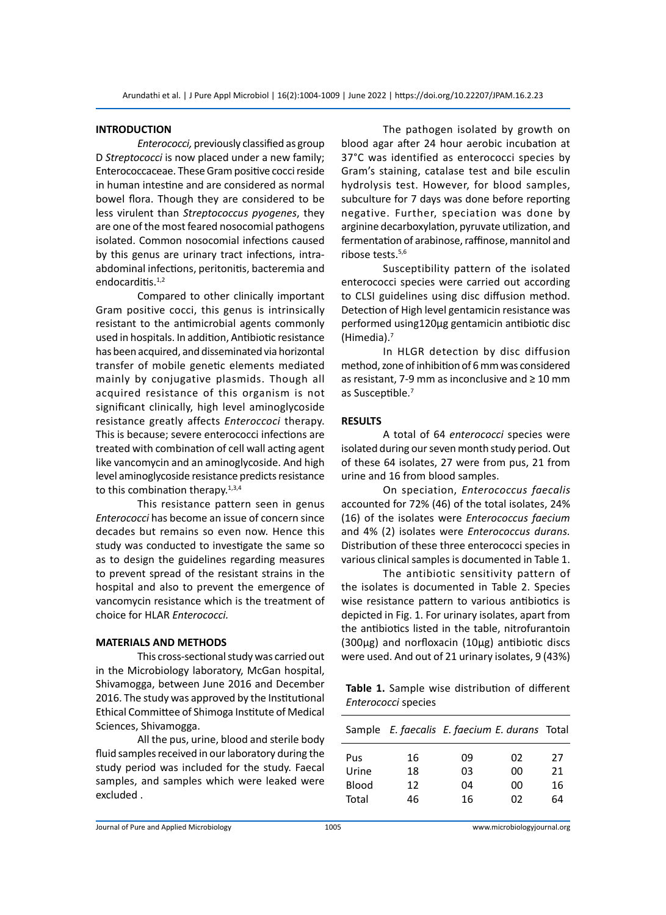#### **INTRODUCTION**

*Enterococci,* previously classified as group D *Streptococci* is now placed under a new family; Enterococcaceae. These Gram positive cocci reside in human intestine and are considered as normal bowel flora. Though they are considered to be less virulent than *Streptococcus pyogenes*, they are one of the most feared nosocomial pathogens isolated. Common nosocomial infections caused by this genus are urinary tract infections, intraabdominal infections, peritonitis, bacteremia and endocarditis.<sup>1,2</sup>

Compared to other clinically important Gram positive cocci, this genus is intrinsically resistant to the antimicrobial agents commonly used in hospitals. In addition, Antibiotic resistance has been acquired, and disseminated via horizontal transfer of mobile genetic elements mediated mainly by conjugative plasmids. Though all acquired resistance of this organism is not significant clinically, high level aminoglycoside resistance greatly affects *Enteroccoci* therapy. This is because; severe enterococci infections are treated with combination of cell wall acting agent like vancomycin and an aminoglycoside. And high level aminoglycoside resistance predicts resistance to this combination therapy. $1,3,4$ 

This resistance pattern seen in genus *Enterococci* has become an issue of concern since decades but remains so even now. Hence this study was conducted to investigate the same so as to design the guidelines regarding measures to prevent spread of the resistant strains in the hospital and also to prevent the emergence of vancomycin resistance which is the treatment of choice for HLAR *Enterococci.*

#### **MATERIALS AND METHODS**

This cross-sectional study was carried out in the Microbiology laboratory, McGan hospital, Shivamogga, between June 2016 and December 2016. The study was approved by the Institutional Ethical Committee of Shimoga Institute of Medical Sciences, Shivamogga.

All the pus, urine, blood and sterile body fluid samples received in our laboratory during the study period was included for the study. Faecal samples, and samples which were leaked were excluded .

The pathogen isolated by growth on blood agar after 24 hour aerobic incubation at 37°C was identified as enterococci species by Gram's staining, catalase test and bile esculin hydrolysis test. However, for blood samples, subculture for 7 days was done before reporting negative. Further, speciation was done by arginine decarboxylation, pyruvate utilization, and fermentation of arabinose, raffinose, mannitol and ribose tests.5,6

Susceptibility pattern of the isolated enterococci species were carried out according to CLSI guidelines using disc diffusion method. Detection of High level gentamicin resistance was performed using120µg gentamicin antibiotic disc (Himedia).7

In HLGR detection by disc diffusion method, zone of inhibition of 6 mm was considered as resistant, 7-9 mm as inconclusive and ≥ 10 mm as Susceptible.<sup>7</sup>

#### **RESULTS**

A total of 64 *enterococci* species were isolated during our seven month study period. Out of these 64 isolates, 27 were from pus, 21 from urine and 16 from blood samples.

On speciation, *Enterococcus faecalis*  accounted for 72% (46) of the total isolates, 24% (16) of the isolates were *Enterococcus faecium*  and 4% (2) isolates were *Enterococcus durans.*  Distribution of these three enterococci species in various clinical samples is documented in Table 1.

The antibiotic sensitivity pattern of the isolates is documented in Table 2. Species wise resistance pattern to various antibiotics is depicted in Fig. 1. For urinary isolates, apart from the antibiotics listed in the table, nitrofurantoin  $(300\mu g)$  and norfloxacin  $(10\mu g)$  antibiotic discs were used. And out of 21 urinary isolates, 9 (43%)

**Table 1.** Sample wise distribution of different *Enterococci* species

|              | Sample E. faecalis E. faecium E. durans Total |    |    |    |
|--------------|-----------------------------------------------|----|----|----|
| Pus          | 16                                            | 09 | 02 | 27 |
| Urine        | 18                                            | 03 | 00 | 21 |
| <b>Blood</b> | 12                                            | 04 | 00 | 16 |
| Total        | 46                                            | 16 | N) | 64 |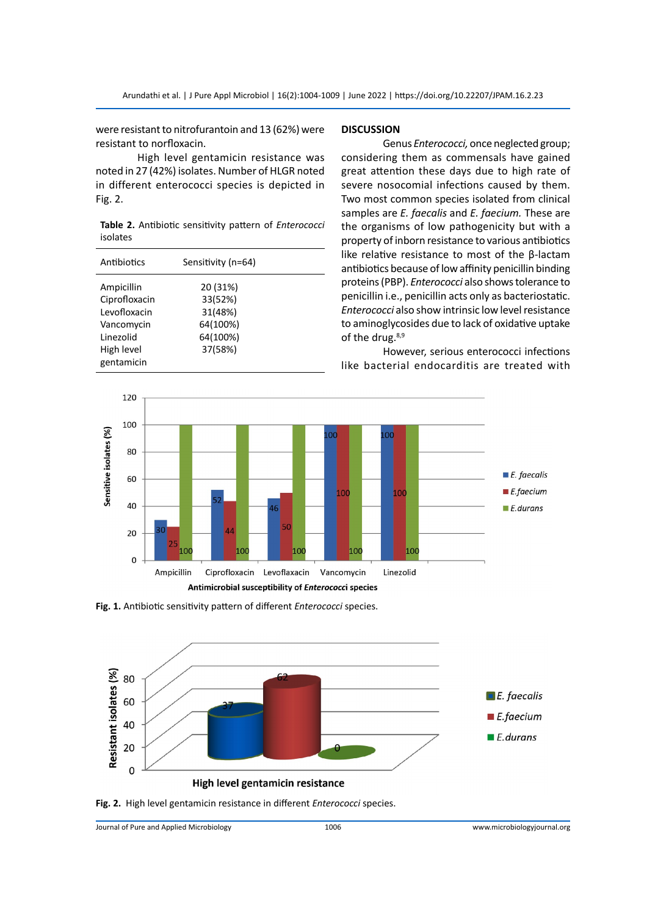were resistant to nitrofurantoin and 13 (62%) were resistant to norfloxacin.

High level gentamicin resistance was noted in 27 (42%) isolates. Number of HLGR noted in different enterococci species is depicted in Fig. 2.

**Table 2.** Antibiotic sensitivity pattern of *Enterococci* isolates

| Antibiotics   | Sensitivity (n=64) |  |
|---------------|--------------------|--|
| Ampicillin    | 20 (31%)           |  |
| Ciprofloxacin | 33(52%)            |  |
| Levofloxacin  | 31(48%)            |  |
| Vancomycin    | 64(100%)           |  |
| Linezolid     | 64(100%)           |  |
| High level    | 37(58%)            |  |
| gentamicin    |                    |  |

#### **DISCUSSION**

Genus *Enterococci,* once neglected group; considering them as commensals have gained great attention these days due to high rate of severe nosocomial infections caused by them. Two most common species isolated from clinical samples are *E. faecalis* and *E. faecium.* These are the organisms of low pathogenicity but with a property of inborn resistance to various antibiotics like relative resistance to most of the β-lactam antibiotics because of low affinity penicillin binding proteins (PBP). *Enterococci* also shows tolerance to penicillin i.e., penicillin acts only as bacteriostatic. *Enterococci* also show intrinsic low level resistance to aminoglycosides due to lack of oxidative uptake of the drug.<sup>8,9</sup>

However, serious enterococci infections like bacterial endocarditis are treated with



**Fig. 1.** Antibiotic sensitivity pattern of different *Enterococci* species.



**Fig. 2.** High level gentamicin resistance in different *Enterococci* species.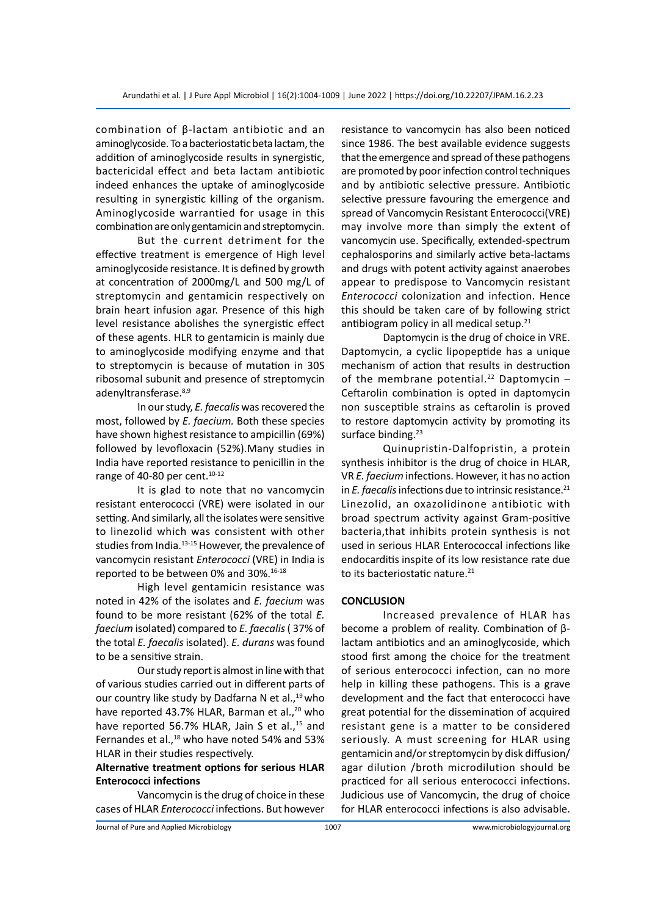combination of β-lactam antibiotic and an aminoglycoside. To a bacteriostatic beta lactam, the addition of aminoglycoside results in synergistic, bactericidal effect and beta lactam antibiotic indeed enhances the uptake of aminoglycoside resulting in synergistic killing of the organism. Aminoglycoside warrantied for usage in this combination are only gentamicin and streptomycin.

But the current detriment for the effective treatment is emergence of High level aminoglycoside resistance. It is defined by growth at concentration of 2000mg/L and 500 mg/L of streptomycin and gentamicin respectively on brain heart infusion agar. Presence of this high level resistance abolishes the synergistic effect of these agents. HLR to gentamicin is mainly due to aminoglycoside modifying enzyme and that to streptomycin is because of mutation in 30S ribosomal subunit and presence of streptomycin adenyltransferase.<sup>8,9</sup>

In our study, *E. faecalis* was recovered the most, followed by *E. faecium.* Both these species have shown highest resistance to ampicillin (69%) followed by levofloxacin (52%).Many studies in India have reported resistance to penicillin in the range of 40-80 per cent.<sup>10-12</sup>

It is glad to note that no vancomycin resistant enterococci (VRE) were isolated in our setting. And similarly, all the isolates were sensitive to linezolid which was consistent with other studies from India.<sup>13-15</sup> However, the prevalence of vancomycin resistant *Enterococci* (VRE) in India is reported to be between 0% and 30%.<sup>16-18</sup>

High level gentamicin resistance was noted in 42% of the isolates and *E. faecium* was found to be more resistant (62% of the total *E. faecium* isolated) compared to *E. faecalis* ( 37% of the total *E. faecalis* isolated). *E. durans* was found to be a sensitive strain.

Our study report is almost in line with that of various studies carried out in different parts of our country like study by Dadfarna N et al.,<sup>19</sup> who have reported 43.7% HLAR, Barman et al.,<sup>20</sup> who have reported 56.7% HLAR, Jain S et al.,<sup>15</sup> and Fernandes et al.,<sup>18</sup> who have noted 54% and 53% HLAR in their studies respectively.

#### **Alternative treatment options for serious HLAR Enterococci infections**

Vancomycin is the drug of choice in these cases of HLAR *Enterococci* infections. But however resistance to vancomycin has also been noticed since 1986. The best available evidence suggests that the emergence and spread of these pathogens are promoted by poor infection control techniques and by antibiotic selective pressure. Antibiotic selective pressure favouring the emergence and spread of Vancomycin Resistant Enterococci(VRE) may involve more than simply the extent of vancomycin use. Specifically, extended-spectrum cephalosporins and similarly active beta-lactams and drugs with potent activity against anaerobes appear to predispose to Vancomycin resistant *Enterococci* colonization and infection. Hence this should be taken care of by following strict antibiogram policy in all medical setup.<sup>21</sup>

Daptomycin is the drug of choice in VRE. Daptomycin, a cyclic lipopeptide has a unique mechanism of action that results in destruction of the membrane potential.<sup>22</sup> Daptomycin  $-$ Ceftarolin combination is opted in daptomycin non susceptible strains as ceftarolin is proved to restore daptomycin activity by promoting its surface binding.<sup>23</sup>

Quinupristin-Dalfopristin, a protein synthesis inhibitor is the drug of choice in HLAR, VR *E. faecium* infections. However, it has no action in *E. faecalis* infections due to intrinsic resistance.<sup>21</sup> Linezolid, an oxazolidinone antibiotic with broad spectrum activity against Gram-positive bacteria,that inhibits protein synthesis is not used in serious HLAR Enterococcal infections like endocarditis inspite of its low resistance rate due to its bacteriostatic nature.<sup>21</sup>

#### **CONCLUSION**

Increased prevalence of HLAR has become a problem of reality. Combination of βlactam antibiotics and an aminoglycoside, which stood first among the choice for the treatment of serious enterococci infection, can no more help in killing these pathogens. This is a grave development and the fact that enterococci have great potential for the dissemination of acquired resistant gene is a matter to be considered seriously. A must screening for HLAR using gentamicin and/or streptomycin by disk diffusion/ agar dilution /broth microdilution should be practiced for all serious enterococci infections. Judicious use of Vancomycin, the drug of choice for HLAR enterococci infections is also advisable.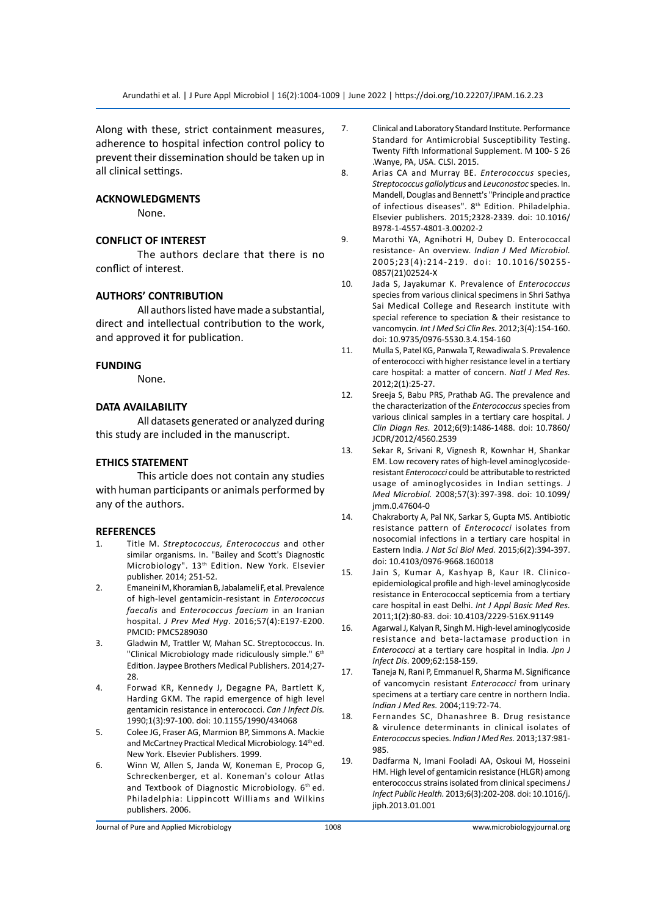Along with these, strict containment measures, adherence to hospital infection control policy to prevent their dissemination should be taken up in all clinical settings.

#### **ACKNOWLEDGMENTS**

None.

#### **CONFLICT OF INTEREST**

The authors declare that there is no conflict of interest.

#### **AUTHORS' CONTRIBUTION**

All authors listed have made a substantial, direct and intellectual contribution to the work, and approved it for publication.

#### **FUNDING**

None.

### **DATA AVAILABILITY**

All datasets generated or analyzed during this study are included in the manuscript.

#### **ETHICS STATEMENT**

This article does not contain any studies with human participants or animals performed by any of the authors.

#### **REFERENCES**

- 1. Title M. *Streptococcus, Enterococcus* and other similar organisms. In. "Bailey and Scott's Diagnostic Microbiology". 13th Edition. New York. Elsevier publisher. 2014; 251-52.
- 2. Emaneini M, Khoramian B, Jabalameli F, et al. Prevalence of high-level gentamicin-resistant in *Enterococcus faecalis* and *Enterococcus faecium* in an Iranian hospital. *J Prev Med Hyg*. 2016;57(4):E197-E200. PMCID: PMC5289030
- 3. Gladwin M, Trattler W, Mahan SC. Streptococcus. In. "Clinical Microbiology made ridiculously simple." 6<sup>th</sup> Edition. Jaypee Brothers Medical Publishers. 2014;27- 28.
- 4. Forwad KR, Kennedy J, Degagne PA, Bartlett K, Harding GKM. The rapid emergence of high level gentamicin resistance in enterococci. *Can J Infect Dis.* 1990;1(3):97-100. doi: 10.1155/1990/434068
- 5. Colee JG, Fraser AG, Marmion BP, Simmons A. Mackie and McCartney Practical Medical Microbiology. 14<sup>th</sup> ed. New York. Elsevier Publishers. 1999.
- 6. Winn W, Allen S, Janda W, Koneman E, Procop G, Schreckenberger, et al. Koneman's colour Atlas and Textbook of Diagnostic Microbiology. 6<sup>th</sup> ed. Philadelphia: Lippincott Williams and Wilkins publishers. 2006.
- 7. Clinical and Laboratory Standard Institute. Performance Standard for Antimicrobial Susceptibility Testing. Twenty Fifth Informational Supplement. M 100- S 26 .Wanye, PA, USA. CLSI. 2015.
- 8. Arias CA and Murray BE. *Enterococcus* species, *Streptococcus gallolyticus* and *Leuconostoc* species. In. Mandell, Douglas and Bennett's "Principle and practice of infectious diseases". 8<sup>th</sup> Edition. Philadelphia. Elsevier publishers. 2015;2328-2339. doi: 10.1016/ B978-1-4557-4801-3.00202-2
- 9. Marothi YA, Agnihotri H, Dubey D. Enterococcal resistance- An overview. *Indian J Med Microbiol.* 2005;23(4):214-219. doi: 10.1016/S0255- 0857(21)02524-X
- 10. Jada S, Jayakumar K. Prevalence of *Enterococcus*  species from various clinical specimens in Shri Sathya Sai Medical College and Research institute with special reference to speciation & their resistance to vancomycin. *Int J Med Sci Clin Res.* 2012;3(4):154-160. doi: 10.9735/0976-5530.3.4.154-160
- 11. Mulla S, Patel KG, Panwala T, Rewadiwala S. Prevalence of enterococci with higher resistance level in a tertiary care hospital: a matter of concern. *Natl J Med Res.*  2012;2(1):25-27.
- 12. Sreeja S, Babu PRS, Prathab AG. The prevalence and the characterization of the *Enterococcus* species from various clinical samples in a tertiary care hospital. *J Clin Diagn Res.* 2012;6(9):1486-1488. doi: 10.7860/ JCDR/2012/4560.2539
- 13. Sekar R, Srivani R, Vignesh R, Kownhar H, Shankar EM. Low recovery rates of high-level aminoglycosideresistant *Enterococci* could be attributable to restricted usage of aminoglycosides in Indian settings. *J Med Microbiol.* 2008;57(3):397-398. doi: 10.1099/ jmm.0.47604-0
- 14. Chakraborty A, Pal NK, Sarkar S, Gupta MS. Antibiotic resistance pattern of *Enterococci* isolates from nosocomial infections in a tertiary care hospital in Eastern India. *J Nat Sci Biol Med.* 2015;6(2):394-397. doi: 10.4103/0976-9668.160018
- 15. Jain S, Kumar A, Kashyap B, Kaur IR. Clinicoepidemiological profile and high-level aminoglycoside resistance in Enterococcal septicemia from a tertiary care hospital in east Delhi. *Int J Appl Basic Med Res.*  2011;1(2):80-83. doi: 10.4103/2229-516X.91149
- 16. Agarwal J, Kalyan R, Singh M. High-level aminoglycoside resistance and beta-lactamase production in *Enterococci* at a tertiary care hospital in India. *Jpn J Infect Dis*. 2009;62:158-159.
- 17. Taneja N, Rani P, Emmanuel R, Sharma M. Significance of vancomycin resistant *Enterococci* from urinary specimens at a tertiary care centre in northern India. *Indian J Med Res.* 2004;119:72-74.
- 18. Fernandes SC, Dhanashree B. Drug resistance & virulence determinants in clinical isolates of *Enterococcus* species. *Indian J Med Res.* 2013;137:981- 985.
- 19. Dadfarma N, Imani Fooladi AA, Oskoui M, Hosseini HM. High level of gentamicin resistance (HLGR) among enterococcus strains isolated from clinical specimens *J Infect Public Health.* 2013;6(3):202-208. doi: 10.1016/j. jiph.2013.01.001